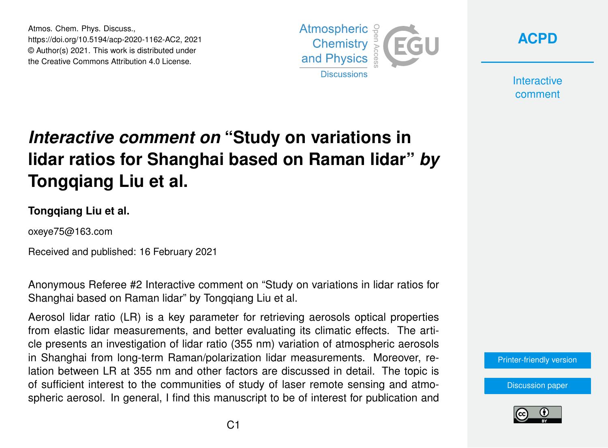Atmos. Chem. Phys. Discuss., https://doi.org/10.5194/acp-2020-1162-AC2, 2021 © Author(s) 2021. This work is distributed under the Creative Commons Attribution 4.0 License.





**Interactive** comment

## *Interactive comment on* **"Study on variations in lidar ratios for Shanghai based on Raman lidar"** *by* **Tongqiang Liu et al.**

## **Tongqiang Liu et al.**

oxeye75@163.com

Received and published: 16 February 2021

Anonymous Referee #2 Interactive comment on "Study on variations in lidar ratios for Shanghai based on Raman lidar" by Tongqiang Liu et al.

Aerosol lidar ratio (LR) is a key parameter for retrieving aerosols optical properties from elastic lidar measurements, and better evaluating its climatic effects. The article presents an investigation of lidar ratio (355 nm) variation of atmospheric aerosols in Shanghai from long-term Raman/polarization lidar measurements. Moreover, relation between LR at 355 nm and other factors are discussed in detail. The topic is of sufficient interest to the communities of study of laser remote sensing and atmospheric aerosol. In general, I find this manuscript to be of interest for publication and

[Printer-friendly version](https://acp.copernicus.org/preprints/acp-2020-1162/acp-2020-1162-AC2-print.pdf)

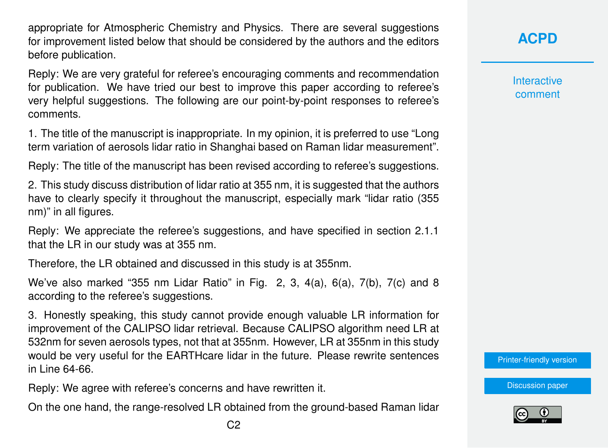appropriate for Atmospheric Chemistry and Physics. There are several suggestions for improvement listed below that should be considered by the authors and the editors before publication.

Reply: We are very grateful for referee's encouraging comments and recommendation for publication. We have tried our best to improve this paper according to referee's very helpful suggestions. The following are our point-by-point responses to referee's comments.

1. The title of the manuscript is inappropriate. In my opinion, it is preferred to use "Long term variation of aerosols lidar ratio in Shanghai based on Raman lidar measurement".

Reply: The title of the manuscript has been revised according to referee's suggestions.

2. This study discuss distribution of lidar ratio at 355 nm, it is suggested that the authors have to clearly specify it throughout the manuscript, especially mark "lidar ratio (355 nm)" in all figures.

Reply: We appreciate the referee's suggestions, and have specified in section 2.1.1 that the LR in our study was at 355 nm.

Therefore, the LR obtained and discussed in this study is at 355nm.

We've also marked "355 nm Lidar Ratio" in Fig. 2, 3, 4(a), 6(a), 7(b), 7(c) and 8 according to the referee's suggestions.

3. Honestly speaking, this study cannot provide enough valuable LR information for improvement of the CALIPSO lidar retrieval. Because CALIPSO algorithm need LR at 532nm for seven aerosols types, not that at 355nm. However, LR at 355nm in this study would be very useful for the EARTHcare lidar in the future. Please rewrite sentences in Line 64-66.

Reply: We agree with referee's concerns and have rewritten it.

On the one hand, the range-resolved LR obtained from the ground-based Raman lidar

**[ACPD](https://acp.copernicus.org/preprints/)**

Interactive comment

[Printer-friendly version](https://acp.copernicus.org/preprints/acp-2020-1162/acp-2020-1162-AC2-print.pdf)

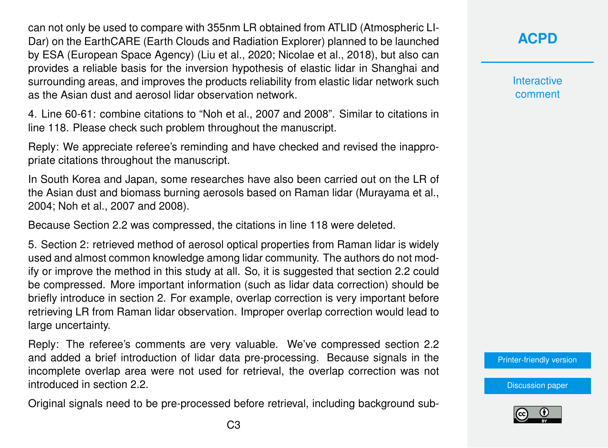can not only be used to compare with 355nm LR obtained from ATLID (Atmospheric LI-Dar) on the EarthCARE (Earth Clouds and Radiation Explorer) planned to be launched by ESA (European Space Agency) (Liu et al., 2020; Nicolae et al., 2018), but also can provides a reliable basis for the inversion hypothesis of elastic lidar in Shanghai and surrounding areas, and improves the products reliability from elastic lidar network such as the Asian dust and aerosol lidar observation network.

4. Line 60-61: combine citations to "Noh et al., 2007 and 2008". Similar to citations in line 118. Please check such problem throughout the manuscript.

Reply: We appreciate referee's reminding and have checked and revised the inappropriate citations throughout the manuscript.

In South Korea and Japan, some researches have also been carried out on the LR of the Asian dust and biomass burning aerosols based on Raman lidar (Murayama et al., 2004; Noh et al., 2007 and 2008).

Because Section 2.2 was compressed, the citations in line 118 were deleted.

5. Section 2: retrieved method of aerosol optical properties from Raman lidar is widely used and almost common knowledge among lidar community. The authors do not modify or improve the method in this study at all. So, it is suggested that section 2.2 could be compressed. More important information (such as lidar data correction) should be briefly introduce in section 2. For example, overlap correction is very important before retrieving LR from Raman lidar observation. Improper overlap correction would lead to large uncertainty.

Reply: The referee's comments are very valuable. We've compressed section 2.2 and added a brief introduction of lidar data pre-processing. Because signals in the incomplete overlap area were not used for retrieval, the overlap correction was not introduced in section 2.2.

Original signals need to be pre-processed before retrieval, including background sub-

**[ACPD](https://acp.copernicus.org/preprints/)**

**Interactive** comment

[Printer-friendly version](https://acp.copernicus.org/preprints/acp-2020-1162/acp-2020-1162-AC2-print.pdf)

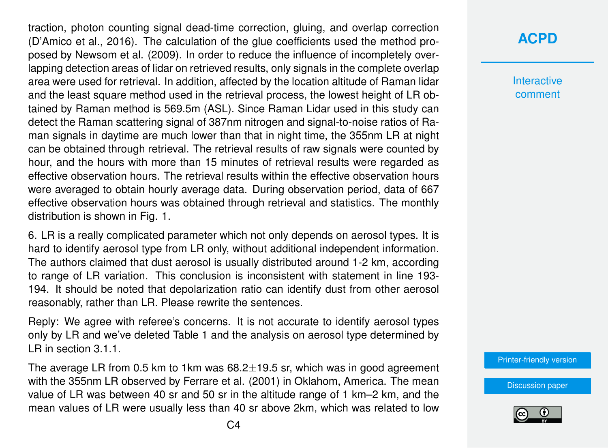traction, photon counting signal dead-time correction, gluing, and overlap correction (D'Amico et al., 2016). The calculation of the glue coefficients used the method proposed by Newsom et al. (2009). In order to reduce the influence of incompletely overlapping detection areas of lidar on retrieved results, only signals in the complete overlap area were used for retrieval. In addition, affected by the location altitude of Raman lidar and the least square method used in the retrieval process, the lowest height of LR obtained by Raman method is 569.5m (ASL). Since Raman Lidar used in this study can detect the Raman scattering signal of 387nm nitrogen and signal-to-noise ratios of Raman signals in daytime are much lower than that in night time, the 355nm LR at night can be obtained through retrieval. The retrieval results of raw signals were counted by hour, and the hours with more than 15 minutes of retrieval results were regarded as effective observation hours. The retrieval results within the effective observation hours were averaged to obtain hourly average data. During observation period, data of 667 effective observation hours was obtained through retrieval and statistics. The monthly distribution is shown in Fig. 1.

6. LR is a really complicated parameter which not only depends on aerosol types. It is hard to identify aerosol type from LR only, without additional independent information. The authors claimed that dust aerosol is usually distributed around 1-2 km, according to range of LR variation. This conclusion is inconsistent with statement in line 193- 194. It should be noted that depolarization ratio can identify dust from other aerosol reasonably, rather than LR. Please rewrite the sentences.

Reply: We agree with referee's concerns. It is not accurate to identify aerosol types only by LR and we've deleted Table 1 and the analysis on aerosol type determined by LR in section 3.1.1.

The average LR from 0.5 km to 1km was  $68.2 \pm 19.5$  sr, which was in good agreement with the 355nm LR observed by Ferrare et al. (2001) in Oklahom, America. The mean value of LR was between 40 sr and 50 sr in the altitude range of 1 km–2 km, and the mean values of LR were usually less than 40 sr above 2km, which was related to low

## **[ACPD](https://acp.copernicus.org/preprints/)**

**Interactive** comment

[Printer-friendly version](https://acp.copernicus.org/preprints/acp-2020-1162/acp-2020-1162-AC2-print.pdf)

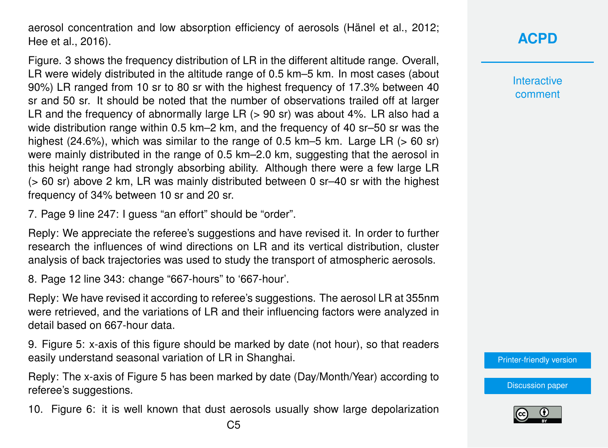aerosol concentration and low absorption efficiency of aerosols (Hänel et al., 2012; Hee et al., 2016).

Figure. 3 shows the frequency distribution of LR in the different altitude range. Overall, LR were widely distributed in the altitude range of 0.5 km–5 km. In most cases (about 90%) LR ranged from 10 sr to 80 sr with the highest frequency of 17.3% between 40 sr and 50 sr. It should be noted that the number of observations trailed off at larger LR and the frequency of abnormally large LR  $(> 90 \text{ sr})$  was about 4%. LR also had a wide distribution range within 0.5 km–2 km, and the frequency of 40 sr–50 sr was the highest (24.6%), which was similar to the range of 0.5 km–5 km. Large LR ( $> 60$  sr) were mainly distributed in the range of 0.5 km–2.0 km, suggesting that the aerosol in this height range had strongly absorbing ability. Although there were a few large LR (> 60 sr) above 2 km, LR was mainly distributed between 0 sr–40 sr with the highest frequency of 34% between 10 sr and 20 sr.

7. Page 9 line 247: I guess "an effort" should be "order".

Reply: We appreciate the referee's suggestions and have revised it. In order to further research the influences of wind directions on LR and its vertical distribution, cluster analysis of back trajectories was used to study the transport of atmospheric aerosols.

8. Page 12 line 343: change "667-hours" to '667-hour'.

Reply: We have revised it according to referee's suggestions. The aerosol LR at 355nm were retrieved, and the variations of LR and their influencing factors were analyzed in detail based on 667-hour data.

9. Figure 5: x-axis of this figure should be marked by date (not hour), so that readers easily understand seasonal variation of LR in Shanghai.

Reply: The x-axis of Figure 5 has been marked by date (Day/Month/Year) according to referee's suggestions.

10. Figure 6: it is well known that dust aerosols usually show large depolarization

**[ACPD](https://acp.copernicus.org/preprints/)**

**Interactive** comment

[Printer-friendly version](https://acp.copernicus.org/preprints/acp-2020-1162/acp-2020-1162-AC2-print.pdf)

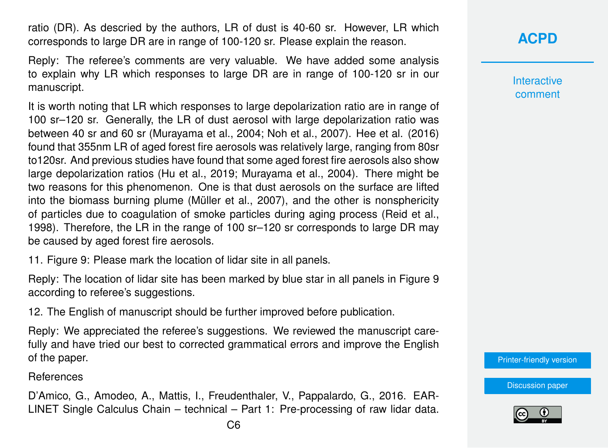ratio (DR). As descried by the authors, LR of dust is 40-60 sr. However, LR which corresponds to large DR are in range of 100-120 sr. Please explain the reason.

Reply: The referee's comments are very valuable. We have added some analysis to explain why LR which responses to large DR are in range of 100-120 sr in our manuscript.

It is worth noting that LR which responses to large depolarization ratio are in range of 100 sr–120 sr. Generally, the LR of dust aerosol with large depolarization ratio was between 40 sr and 60 sr (Murayama et al., 2004; Noh et al., 2007). Hee et al. (2016) found that 355nm LR of aged forest fire aerosols was relatively large, ranging from 80sr to120sr. And previous studies have found that some aged forest fire aerosols also show large depolarization ratios (Hu et al., 2019; Murayama et al., 2004). There might be two reasons for this phenomenon. One is that dust aerosols on the surface are lifted into the biomass burning plume (Müller et al., 2007), and the other is nonsphericity of particles due to coagulation of smoke particles during aging process (Reid et al., 1998). Therefore, the LR in the range of 100 sr–120 sr corresponds to large DR may be caused by aged forest fire aerosols.

11. Figure 9: Please mark the location of lidar site in all panels.

Reply: The location of lidar site has been marked by blue star in all panels in Figure 9 according to referee's suggestions.

12. The English of manuscript should be further improved before publication.

Reply: We appreciated the referee's suggestions. We reviewed the manuscript carefully and have tried our best to corrected grammatical errors and improve the English of the paper.

## References

D'Amico, G., Amodeo, A., Mattis, I., Freudenthaler, V., Pappalardo, G., 2016. EAR-LINET Single Calculus Chain – technical – Part 1: Pre-processing of raw lidar data. **Interactive** comment

[Printer-friendly version](https://acp.copernicus.org/preprints/acp-2020-1162/acp-2020-1162-AC2-print.pdf)

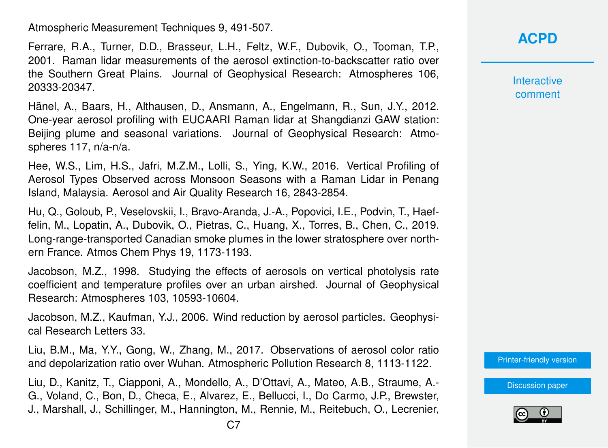Atmospheric Measurement Techniques 9, 491-507.

Ferrare, R.A., Turner, D.D., Brasseur, L.H., Feltz, W.F., Dubovik, O., Tooman, T.P., 2001. Raman lidar measurements of the aerosol extinction-to-backscatter ratio over the Southern Great Plains. Journal of Geophysical Research: Atmospheres 106, 20333-20347.

Hänel, A., Baars, H., Althausen, D., Ansmann, A., Engelmann, R., Sun, J.Y., 2012. One-year aerosol profiling with EUCAARI Raman lidar at Shangdianzi GAW station: Beijing plume and seasonal variations. Journal of Geophysical Research: Atmospheres 117, n/a-n/a.

Hee, W.S., Lim, H.S., Jafri, M.Z.M., Lolli, S., Ying, K.W., 2016. Vertical Profiling of Aerosol Types Observed across Monsoon Seasons with a Raman Lidar in Penang Island, Malaysia. Aerosol and Air Quality Research 16, 2843-2854.

Hu, Q., Goloub, P., Veselovskii, I., Bravo-Aranda, J.-A., Popovici, I.E., Podvin, T., Haeffelin, M., Lopatin, A., Dubovik, O., Pietras, C., Huang, X., Torres, B., Chen, C., 2019. Long-range-transported Canadian smoke plumes in the lower stratosphere over northern France. Atmos Chem Phys 19, 1173-1193.

Jacobson, M.Z., 1998. Studying the effects of aerosols on vertical photolysis rate coefficient and temperature profiles over an urban airshed. Journal of Geophysical Research: Atmospheres 103, 10593-10604.

Jacobson, M.Z., Kaufman, Y.J., 2006. Wind reduction by aerosol particles. Geophysical Research Letters 33.

Liu, B.M., Ma, Y.Y., Gong, W., Zhang, M., 2017. Observations of aerosol color ratio and depolarization ratio over Wuhan. Atmospheric Pollution Research 8, 1113-1122.

Liu, D., Kanitz, T., Ciapponi, A., Mondello, A., D'Ottavi, A., Mateo, A.B., Straume, A.- G., Voland, C., Bon, D., Checa, E., Alvarez, E., Bellucci, I., Do Carmo, J.P., Brewster, J., Marshall, J., Schillinger, M., Hannington, M., Rennie, M., Reitebuch, O., Lecrenier, Interactive comment

[Printer-friendly version](https://acp.copernicus.org/preprints/acp-2020-1162/acp-2020-1162-AC2-print.pdf)

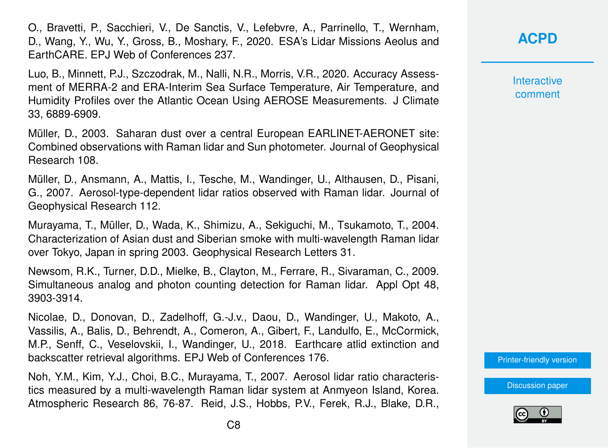O., Bravetti, P., Sacchieri, V., De Sanctis, V., Lefebvre, A., Parrinello, T., Wernham, D., Wang, Y., Wu, Y., Gross, B., Moshary, F., 2020. ESA's Lidar Missions Aeolus and EarthCARE. EPJ Web of Conferences 237.

Luo, B., Minnett, P.J., Szczodrak, M., Nalli, N.R., Morris, V.R., 2020. Accuracy Assessment of MERRA-2 and ERA-Interim Sea Surface Temperature, Air Temperature, and Humidity Profiles over the Atlantic Ocean Using AEROSE Measurements. J Climate 33, 6889-6909.

Müller, D., 2003. Saharan dust over a central European EARLINET-AERONET site: Combined observations with Raman lidar and Sun photometer. Journal of Geophysical Research 108.

Müller, D., Ansmann, A., Mattis, I., Tesche, M., Wandinger, U., Althausen, D., Pisani, G., 2007. Aerosol-type-dependent lidar ratios observed with Raman lidar. Journal of Geophysical Research 112.

Murayama, T., Müller, D., Wada, K., Shimizu, A., Sekiguchi, M., Tsukamoto, T., 2004. Characterization of Asian dust and Siberian smoke with multi-wavelength Raman lidar over Tokyo, Japan in spring 2003. Geophysical Research Letters 31.

Newsom, R.K., Turner, D.D., Mielke, B., Clayton, M., Ferrare, R., Sivaraman, C., 2009. Simultaneous analog and photon counting detection for Raman lidar. Appl Opt 48, 3903-3914.

Nicolae, D., Donovan, D., Zadelhoff, G.-J.v., Daou, D., Wandinger, U., Makoto, A., Vassilis, A., Balis, D., Behrendt, A., Comeron, A., Gibert, F., Landulfo, E., McCormick, M.P., Senff, C., Veselovskii, I., Wandinger, U., 2018. Earthcare atlid extinction and backscatter retrieval algorithms. EPJ Web of Conferences 176.

Noh, Y.M., Kim, Y.J., Choi, B.C., Murayama, T., 2007. Aerosol lidar ratio characteristics measured by a multi-wavelength Raman lidar system at Anmyeon Island, Korea. Atmospheric Research 86, 76-87. Reid, J.S., Hobbs, P.V., Ferek, R.J., Blake, D.R., **[ACPD](https://acp.copernicus.org/preprints/)**

**Interactive** comment

[Printer-friendly version](https://acp.copernicus.org/preprints/acp-2020-1162/acp-2020-1162-AC2-print.pdf)

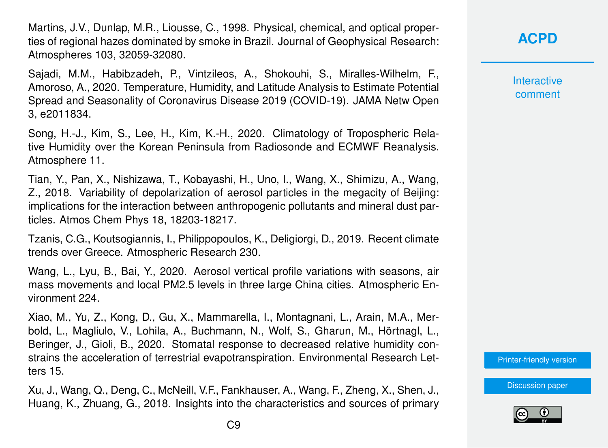Martins, J.V., Dunlap, M.R., Liousse, C., 1998. Physical, chemical, and optical properties of regional hazes dominated by smoke in Brazil. Journal of Geophysical Research: Atmospheres 103, 32059-32080.

Sajadi, M.M., Habibzadeh, P., Vintzileos, A., Shokouhi, S., Miralles-Wilhelm, F., Amoroso, A., 2020. Temperature, Humidity, and Latitude Analysis to Estimate Potential Spread and Seasonality of Coronavirus Disease 2019 (COVID-19). JAMA Netw Open 3, e2011834.

Song, H.-J., Kim, S., Lee, H., Kim, K.-H., 2020. Climatology of Tropospheric Relative Humidity over the Korean Peninsula from Radiosonde and ECMWF Reanalysis. Atmosphere 11.

Tian, Y., Pan, X., Nishizawa, T., Kobayashi, H., Uno, I., Wang, X., Shimizu, A., Wang, Z., 2018. Variability of depolarization of aerosol particles in the megacity of Beijing: implications for the interaction between anthropogenic pollutants and mineral dust particles. Atmos Chem Phys 18, 18203-18217.

Tzanis, C.G., Koutsogiannis, I., Philippopoulos, K., Deligiorgi, D., 2019. Recent climate trends over Greece. Atmospheric Research 230.

Wang, L., Lyu, B., Bai, Y., 2020. Aerosol vertical profile variations with seasons, air mass movements and local PM2.5 levels in three large China cities. Atmospheric Environment 224.

Xiao, M., Yu, Z., Kong, D., Gu, X., Mammarella, I., Montagnani, L., Arain, M.A., Merbold, L., Magliulo, V., Lohila, A., Buchmann, N., Wolf, S., Gharun, M., Hörtnagl, L., Beringer, J., Gioli, B., 2020. Stomatal response to decreased relative humidity constrains the acceleration of terrestrial evapotranspiration. Environmental Research Letters 15.

Xu, J., Wang, Q., Deng, C., McNeill, V.F., Fankhauser, A., Wang, F., Zheng, X., Shen, J., Huang, K., Zhuang, G., 2018. Insights into the characteristics and sources of primary **[ACPD](https://acp.copernicus.org/preprints/)**

Interactive comment

[Printer-friendly version](https://acp.copernicus.org/preprints/acp-2020-1162/acp-2020-1162-AC2-print.pdf)